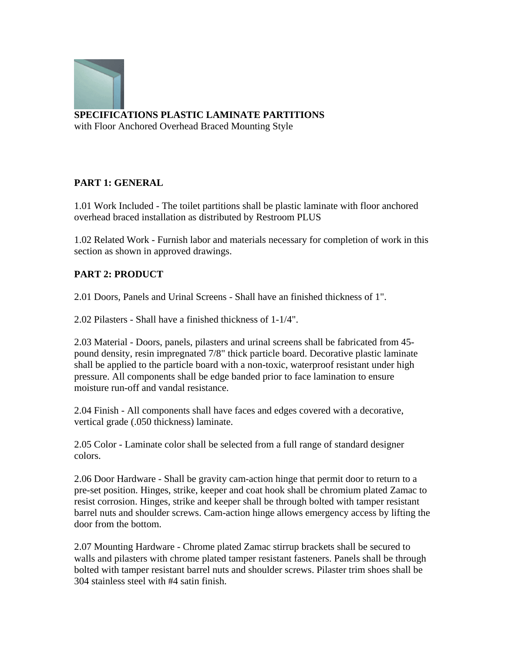

**SPECIFICATIONS PLASTIC LAMINATE PARTITIONS** with Floor Anchored Overhead Braced Mounting Style

## **PART 1: GENERAL**

1.01 Work Included - The toilet partitions shall be plastic laminate with floor anchored overhead braced installation as distributed by Restroom PLUS

1.02 Related Work - Furnish labor and materials necessary for completion of work in this section as shown in approved drawings.

## **PART 2: PRODUCT**

2.01 Doors, Panels and Urinal Screens - Shall have an finished thickness of 1".

2.02 Pilasters - Shall have a finished thickness of 1-1/4".

2.03 Material - Doors, panels, pilasters and urinal screens shall be fabricated from 45 pound density, resin impregnated 7/8" thick particle board. Decorative plastic laminate shall be applied to the particle board with a non-toxic, waterproof resistant under high pressure. All components shall be edge banded prior to face lamination to ensure moisture run-off and vandal resistance.

2.04 Finish - All components shall have faces and edges covered with a decorative, vertical grade (.050 thickness) laminate.

2.05 Color - Laminate color shall be selected from a full range of standard designer colors.

2.06 Door Hardware - Shall be gravity cam-action hinge that permit door to return to a pre-set position. Hinges, strike, keeper and coat hook shall be chromium plated Zamac to resist corrosion. Hinges, strike and keeper shall be through bolted with tamper resistant barrel nuts and shoulder screws. Cam-action hinge allows emergency access by lifting the door from the bottom.

2.07 Mounting Hardware - Chrome plated Zamac stirrup brackets shall be secured to walls and pilasters with chrome plated tamper resistant fasteners. Panels shall be through bolted with tamper resistant barrel nuts and shoulder screws. Pilaster trim shoes shall be 304 stainless steel with #4 satin finish.